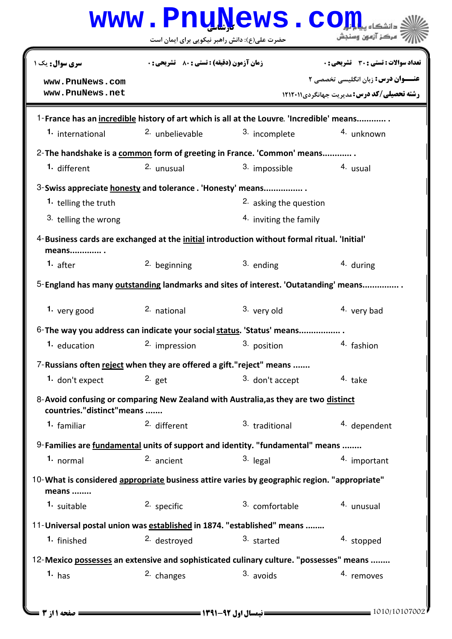|                                                                                                                   | www.PnuNews.co                                     |                                   |                                                     |  |  |
|-------------------------------------------------------------------------------------------------------------------|----------------------------------------------------|-----------------------------------|-----------------------------------------------------|--|--|
|                                                                                                                   | حضرت علی(ع): دانش راهبر نیکویی برای ایمان است      |                                   | ' مرڪز آزمون وسنڊش                                  |  |  |
| سری سوال: یک ۱                                                                                                    | <b>زمان آزمون (دقیقه) : تستی : 80 ٪ تشریحی : 0</b> |                                   | تعداد سوالات : تستي : 30 ٪ تشريحي : 0               |  |  |
| www.PnuNews.com                                                                                                   |                                                    |                                   | <b>عنـــوان درس:</b> زبان انگلیسی تخصصی ۲           |  |  |
| www.PnuNews.net                                                                                                   |                                                    |                                   | <b>رشته تحصیلی/کد درس: مدیریت جهانگردی 121201</b> 1 |  |  |
| 1-France has an incredible history of art which is all at the Louvre. 'Incredible' means                          |                                                    |                                   |                                                     |  |  |
| 1. international                                                                                                  | <sup>2.</sup> unbelievable                         | 3. incomplete                     | <sup>4.</sup> unknown                               |  |  |
| 2- The handshake is a common form of greeting in France. 'Common' means                                           |                                                    |                                   |                                                     |  |  |
| 1. different                                                                                                      | 2. unusual                                         | 3. impossible                     | 4. usual                                            |  |  |
| 3-Swiss appreciate honesty and tolerance . 'Honesty' means                                                        |                                                    |                                   |                                                     |  |  |
| 1. telling the truth                                                                                              |                                                    | <sup>2.</sup> asking the question |                                                     |  |  |
| 3. telling the wrong                                                                                              |                                                    | 4. inviting the family            |                                                     |  |  |
| 4-Business cards are exchanged at the initial introduction without formal ritual. 'Initial'<br>means              |                                                    |                                   |                                                     |  |  |
| 1. <sub>after</sub>                                                                                               | 2. beginning                                       | 3. ending                         | 4. during                                           |  |  |
| 5-England has many outstanding landmarks and sites of interest. 'Outatanding' means                               |                                                    |                                   |                                                     |  |  |
| 1. very good                                                                                                      | 2. national                                        | 3. very old                       | 4. very bad                                         |  |  |
| 6-The way you address can indicate your social status. 'Status' means                                             |                                                    |                                   |                                                     |  |  |
| 1. education                                                                                                      | 2. impression                                      | 3. position                       | 4. fashion                                          |  |  |
| 7-Russians often reject when they are offered a gift."reject" means                                               |                                                    |                                   |                                                     |  |  |
| 1. don't expect                                                                                                   | $2.$ get                                           | 3. don't accept                   | 4. take                                             |  |  |
| 8- Avoid confusing or comparing New Zealand with Australia, as they are two distinct<br>countries."distinct"means |                                                    |                                   |                                                     |  |  |
| <sup>1.</sup> familiar                                                                                            | 2. different                                       | 3. traditional                    | 4. dependent                                        |  |  |
| 9-Families are fundamental units of support and identity. "fundamental" means                                     |                                                    |                                   |                                                     |  |  |
| 1. normal                                                                                                         | 2. ancient                                         | 3. legal                          | 4. important                                        |  |  |
| 10-What is considered appropriate business attire varies by geographic region. "appropriate"<br>means             |                                                    |                                   |                                                     |  |  |
| 1. suitable                                                                                                       | 2. specific                                        | 3. comfortable                    | 4. unusual                                          |  |  |
| 11- Universal postal union was established in 1874. "established" means                                           |                                                    |                                   |                                                     |  |  |
| <sup>1.</sup> finished                                                                                            | <sup>2.</sup> destroyed                            | 3. started                        | 4. stopped                                          |  |  |
| 12-Mexico possesses an extensive and sophisticated culinary culture. "possesses" means                            |                                                    |                                   |                                                     |  |  |
| 1. has                                                                                                            | 2. changes                                         | 3. avoids                         | 4. removes                                          |  |  |
|                                                                                                                   |                                                    |                                   |                                                     |  |  |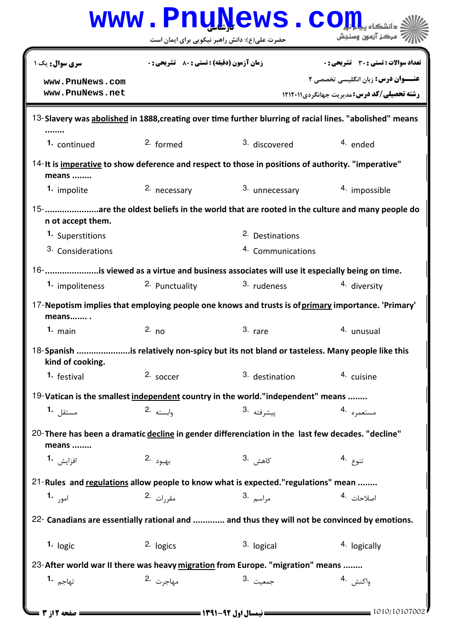|                                                                                                               |                                                    | www.PnuNews.co                                                                                     |                                                   |  |  |
|---------------------------------------------------------------------------------------------------------------|----------------------------------------------------|----------------------------------------------------------------------------------------------------|---------------------------------------------------|--|--|
|                                                                                                               |                                                    | حضرت علی(ع): دانش راهبر نیکویی برای ایمان است                                                      | مركز آزمون وسنجش                                  |  |  |
| <b>سری سوال:</b> یک ۱                                                                                         | <b>زمان آزمون (دقیقه) : تستی : 80 ٪ تشریحی : 0</b> |                                                                                                    | تعداد سوالات : تستي : 30 ٪ تشريحي : 0             |  |  |
| www.PnuNews.com                                                                                               |                                                    |                                                                                                    | <b>عنـــوان درس:</b> زبان انگلیسی تخصصی ۲         |  |  |
| www.PnuNews.net                                                                                               |                                                    |                                                                                                    | <b>رشته تحصیلی/کد درس: مدیریت حهانگردی 121201</b> |  |  |
| 13-Slavery was abolished in 1888, creating over time further blurring of racial lines. "abolished" means      |                                                    |                                                                                                    |                                                   |  |  |
| 1. continued                                                                                                  | 2. formed                                          | 3. discovered                                                                                      | 4. ended                                          |  |  |
| 14-It is imperative to show deference and respect to those in positions of authority. "imperative"<br>means   |                                                    |                                                                                                    |                                                   |  |  |
| 1. impolite                                                                                                   | 2. necessary                                       | 3. unnecessary                                                                                     | 4. impossible                                     |  |  |
| 15-are the oldest beliefs in the world that are rooted in the culture and many people do<br>n ot accept them. |                                                    |                                                                                                    |                                                   |  |  |
| 1. Superstitions                                                                                              |                                                    | <sup>2.</sup> Destinations                                                                         |                                                   |  |  |
| 3. Considerations                                                                                             |                                                    | 4. Communications                                                                                  |                                                   |  |  |
|                                                                                                               |                                                    | 16- is viewed as a virtue and business associates will use it especially being on time.            |                                                   |  |  |
| 1. impoliteness                                                                                               | 2. Punctuality                                     | 3. rudeness                                                                                        | 4. diversity                                      |  |  |
| means                                                                                                         |                                                    | 17-Nepotism implies that employing people one knows and trusts is of primary importance. 'Primary' |                                                   |  |  |
| $1.$ main                                                                                                     | 2. no                                              | 3. rare                                                                                            | <sup>4.</sup> unusual                             |  |  |
| 18-Spanish is relatively non-spicy but its not bland or tasteless. Many people like this<br>kind of cooking.  |                                                    |                                                                                                    |                                                   |  |  |
| 1. festival                                                                                                   | 2. soccer                                          | 3. destination                                                                                     | 4. cuisine                                        |  |  |
| 19-Vatican is the smallest independent country in the world."independent" means                               |                                                    |                                                                                                    |                                                   |  |  |
| مستقل 1.                                                                                                      | وابسته .2                                          | پیشرفته 3.                                                                                         | مستعمره 4.                                        |  |  |
| means                                                                                                         |                                                    | 20-There has been a dramatic decline in gender differenciation in the last few decades. "decline"  |                                                   |  |  |
| افزايش <b>1</b> ۰                                                                                             | بهبود .2                                           | كاھش .3                                                                                            | تنوع .4                                           |  |  |
| 21-Rules and regulations allow people to know what is expected."regulations" mean                             |                                                    |                                                                                                    |                                                   |  |  |
| امور <b>1.</b>                                                                                                | مقررات 2.                                          | مراسم .3                                                                                           | 4. اصلاحات                                        |  |  |
| 22- Canadians are essentially rational and  and thus they will not be convinced by emotions.                  |                                                    |                                                                                                    |                                                   |  |  |
| 1. logic                                                                                                      | 2. logics                                          | 3. logical                                                                                         | 4. logically                                      |  |  |
| 23-After world war II there was heavy migration from Europe. "migration" means                                |                                                    |                                                                                                    |                                                   |  |  |
| تهاج <sub>م</sub> <b>.1</b>                                                                                   | مهاجرت 2.                                          | جمعيت <sup>.3</sup>                                                                                | واكنش 4.                                          |  |  |
| 1010/10107002<br>صفحه 12; 3                                                                                   |                                                    |                                                                                                    |                                                   |  |  |